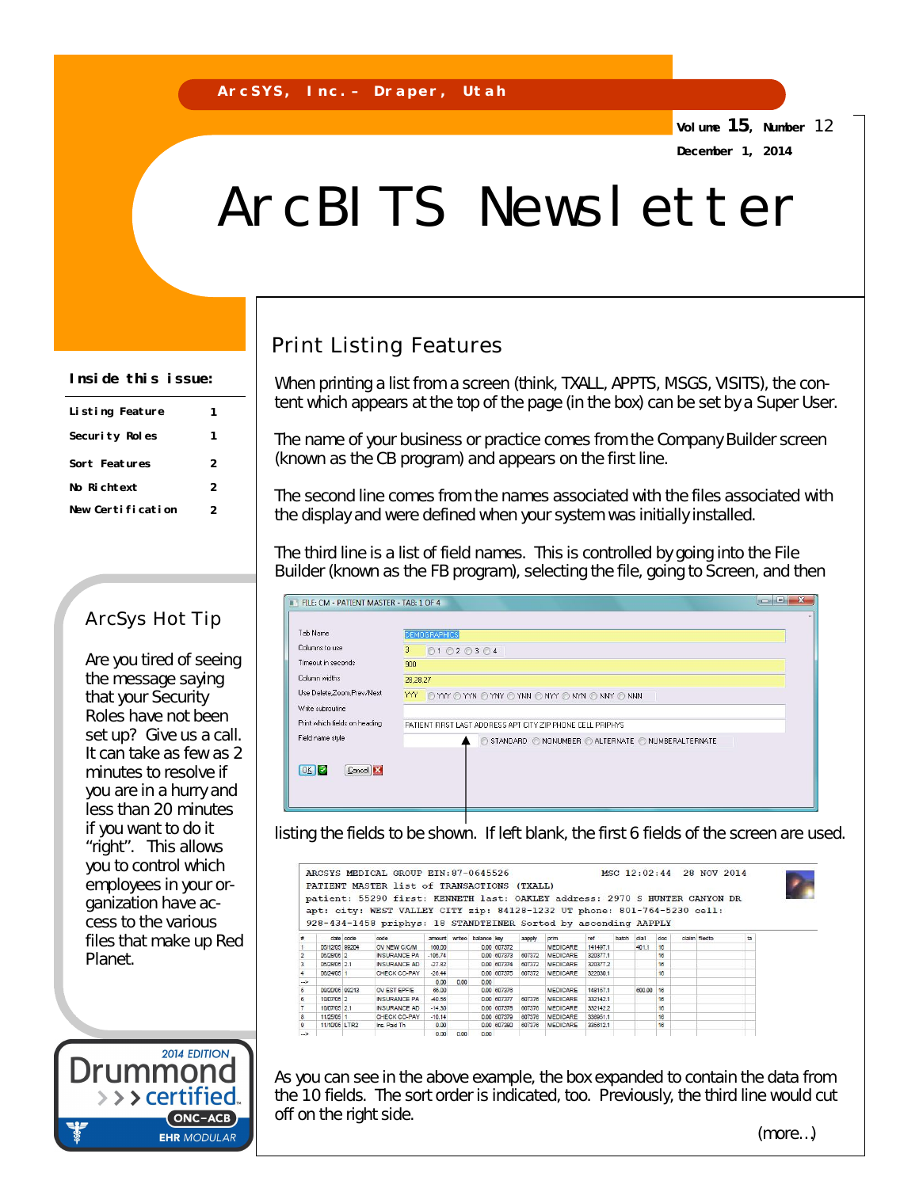**Volume 15, Number** 12 **December 1, 2014**

# ArcBITS Newsletter

#### **Inside this issue:**

| Listing Feature   |   |
|-------------------|---|
| Security Roles    |   |
| Sort Features     | 2 |
| No Richtext       | 2 |
| New Certification | 2 |

#### ArcSys Hot Tip

Are you tired of seeing the message saying that your Security Roles have not been set up? Give us a call. It can take as few as 2 minutes to resolve if you are in a hurry and less than 20 minutes if you want to do it "right". This allows you to control which employees in your organization have access to the various files that make up Red Planet.

2014 EDITION

(ONC-ACB) **EHR MODULAR** 

Drummonc

> > > certified.

## Print Listing Features

When printing a list from a screen (think, TXALL, APPTS, MSGS, VISITS), the content which appears at the top of the page (in the box) can be set by a Super User.

The name of your business or practice comes from the Company Builder screen (known as the CB program) and appears on the first line.

The second line comes from the names associated with the files associated with the display and were defined when your system was initially installed.

The third line is a list of field names. This is controlled by going into the File Builder (known as the FB program), selecting the file, going to Screen, and then

| FILE: CM - PATIENT MASTER - TAB: 1 OF 4 | $s \rightarrow s$<br>11                                    |
|-----------------------------------------|------------------------------------------------------------|
| Tab Name                                | <b>DEMOGRAPHICS</b>                                        |
| Columns to use                          | 3<br>01020304                                              |
| Timeout in seconds                      | 900                                                        |
| Column widths                           | 28.28.27                                                   |
| Use Delete Zoom, Prev/Next              | YY OYY OYYN OYNY OYNN ONYY ONYN ONNY ONNN                  |
| Write subroutine                        |                                                            |
| Print which fields on heading           | PATIENT FIRST LAST ADDRESS APT CITY ZIP PHONE CELL PRIPHYS |
| Field name style                        | STANDARD ONONUMBER OALTERNATE ONUMBERALTERNATE<br>C        |
| OKC<br>Cancel <b>E3</b>                 |                                                            |

listing the fields to be shown. If left blank, the first 6 fields of the screen are used.

|               |                |           | PATIENT MASTER list of TRANSACTIONS (TXALL)<br>patient: 55290 first: KENNETH last: OAKLEY address: 2970 S HUNTER CANYON DR<br>apt: city: WEST VALLEY CITY zip: 84128-1232 UT phone: 801-764-5230 cell: |           |        |             |             |        |                 |          |       |        |     |               |    |
|---------------|----------------|-----------|--------------------------------------------------------------------------------------------------------------------------------------------------------------------------------------------------------|-----------|--------|-------------|-------------|--------|-----------------|----------|-------|--------|-----|---------------|----|
|               |                | date code | 928-434-1458 priphys: 18 STANDTEINER Sorted by ascending AAPPLY<br>code                                                                                                                                | amount    | writeo | balance key |             | aapply | prim            | ref      | batch | dia1   | doc | claim filedto | ta |
|               | 05/12/05 99204 |           | OV NEW C/C/M                                                                                                                                                                                           | 160.00    |        |             | 0.00 607372 |        | MEDICARE        | 141497.1 |       | 401.1  | 16  |               |    |
|               | 05/28/05 2     |           | INSURANCE PA                                                                                                                                                                                           | $-105.74$ |        |             | 0.00 607373 | 607372 | <b>MEDICARE</b> | 320377.1 |       |        | 16  |               |    |
| 3             | 05/28/05 2.1   |           | <b>INSURANCE AD</b>                                                                                                                                                                                    | $-27.82$  |        |             | 0.00 607374 | 607372 | MEDICARE        | 320377.2 |       |        | 16  |               |    |
|               | 06/24/05 1     |           | CHECK CO-PAY                                                                                                                                                                                           | $-26.44$  |        |             | 0.00 607375 | 607372 | <b>MEDICARE</b> | 322030.1 |       |        | 16  |               |    |
| $\sim$        |                |           |                                                                                                                                                                                                        | 0.00      | 0.00   | 0.00        |             |        |                 |          |       |        |     |               |    |
| 5             | 09/20/05 99213 |           | OV EST EPF/E                                                                                                                                                                                           | 65.00     |        |             | 0.00 607376 |        | <b>MEDICARE</b> | 148157.1 |       | 600.00 | 16  |               |    |
| 6             | 10/07/05 2     |           | <b>INSURANCE PA</b>                                                                                                                                                                                    | $-40.56$  |        |             | 0.00 607377 | 607376 | <b>MEDICARE</b> | 332142.1 |       |        | 16  |               |    |
|               | 10/07/05 2.1   |           | <b>INSURANCE AD</b>                                                                                                                                                                                    | $-14.30$  |        |             | 0.00 607378 | 607376 | <b>MEDICARE</b> | 332142.2 |       |        | 16  |               |    |
| 8             | 11/25/05 1     |           | CHECK CO-PAY                                                                                                                                                                                           | $-10.14$  |        |             | 0.00 607379 | 607376 | <b>MEDICARE</b> | 336951.1 |       |        | 16  |               |    |
| ø             | 11/10/05 LTR2  |           | Ins. Paid Th                                                                                                                                                                                           | 0.00      |        |             | 0.00 607380 | 607376 | MEDICARE        | 335612.1 |       |        | 16  |               |    |
| $\rightarrow$ |                |           |                                                                                                                                                                                                        | 0.00      | 0.00   | 0.00        |             |        |                 |          |       |        |     |               |    |

As you can see in the above example, the box expanded to contain the data from the 10 fields. The sort order is indicated, too. Previously, the third line would cut off on the right side.

(more…)